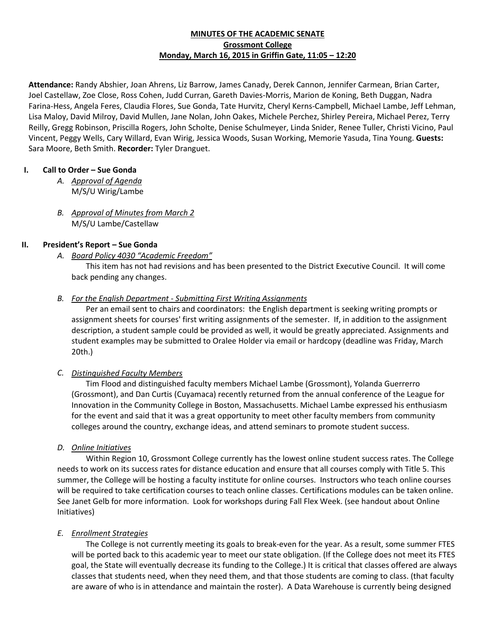## **MINUTES OF THE ACADEMIC SENATE Grossmont College Monday, March 16, 2015 in Griffin Gate, 11:05 – 12:20**

**Attendance:** Randy Abshier, Joan Ahrens, Liz Barrow, James Canady, Derek Cannon, Jennifer Carmean, Brian Carter, Joel Castellaw, Zoe Close, Ross Cohen, Judd Curran, Gareth Davies-Morris, Marion de Koning, Beth Duggan, Nadra Farina-Hess, Angela Feres, Claudia Flores, Sue Gonda, Tate Hurvitz, Cheryl Kerns-Campbell, Michael Lambe, Jeff Lehman, Lisa Maloy, David Milroy, David Mullen, Jane Nolan, John Oakes, Michele Perchez, Shirley Pereira, Michael Perez, Terry Reilly, Gregg Robinson, Priscilla Rogers, John Scholte, Denise Schulmeyer, Linda Snider, Renee Tuller, Christi Vicino, Paul Vincent, Peggy Wells, Cary Willard, Evan Wirig, Jessica Woods, Susan Working, Memorie Yasuda, Tina Young. **Guests:**  Sara Moore, Beth Smith. **Recorder:** Tyler Dranguet.

## **I. Call to Order – Sue Gonda**

- *A. Approval of Agenda* M/S/U Wirig/Lambe
- *B. Approval of Minutes from March 2* M/S/U Lambe/Castellaw

## **II. President's Report – Sue Gonda**

*A. Board Policy 4030 "Academic Freedom"* 

This item has not had revisions and has been presented to the District Executive Council. It will come back pending any changes.

## *B. For the English Department - Submitting First Writing Assignments*

Per an email sent to chairs and coordinators: the English department is seeking writing prompts or assignment sheets for courses' first writing assignments of the semester. If, in addition to the assignment description, a student sample could be provided as well, it would be greatly appreciated. Assignments and student examples may be submitted to Oralee Holder via email or hardcopy (deadline was Friday, March 20th.)

# *C. Distinguished Faculty Members*

Tim Flood and distinguished faculty members Michael Lambe (Grossmont), Yolanda Guerrerro (Grossmont), and Dan Curtis (Cuyamaca) recently returned from the annual conference of the League for Innovation in the Community College in Boston, Massachusetts. Michael Lambe expressed his enthusiasm for the event and said that it was a great opportunity to meet other faculty members from community colleges around the country, exchange ideas, and attend seminars to promote student success.

## *D. Online Initiatives*

Within Region 10, Grossmont College currently has the lowest online student success rates. The College needs to work on its success rates for distance education and ensure that all courses comply with Title 5. This summer, the College will be hosting a faculty institute for online courses. Instructors who teach online courses will be required to take certification courses to teach online classes. Certifications modules can be taken online. See Janet Gelb for more information. Look for workshops during Fall Flex Week. (see handout about Online Initiatives)

# *E. Enrollment Strategies*

The College is not currently meeting its goals to break-even for the year. As a result, some summer FTES will be ported back to this academic year to meet our state obligation. (If the College does not meet its FTES goal, the State will eventually decrease its funding to the College.) It is critical that classes offered are always classes that students need, when they need them, and that those students are coming to class. (that faculty are aware of who is in attendance and maintain the roster). A Data Warehouse is currently being designed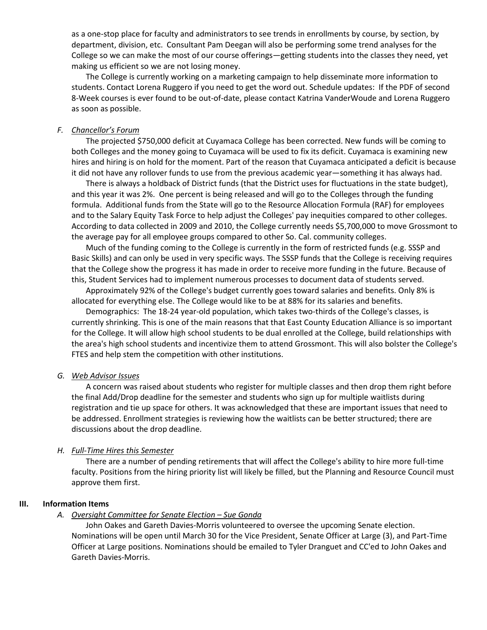as a one-stop place for faculty and administrators to see trends in enrollments by course, by section, by department, division, etc. Consultant Pam Deegan will also be performing some trend analyses for the College so we can make the most of our course offerings—getting students into the classes they need, yet making us efficient so we are not losing money.

The College is currently working on a marketing campaign to help disseminate more information to students. Contact Lorena Ruggero if you need to get the word out. Schedule updates: If the PDF of second 8-Week courses is ever found to be out-of-date, please contact Katrina VanderWoude and Lorena Ruggero as soon as possible.

#### *F. Chancellor's Forum*

The projected \$750,000 deficit at Cuyamaca College has been corrected. New funds will be coming to both Colleges and the money going to Cuyamaca will be used to fix its deficit. Cuyamaca is examining new hires and hiring is on hold for the moment. Part of the reason that Cuyamaca anticipated a deficit is because it did not have any rollover funds to use from the previous academic year—something it has always had.

There is always a holdback of District funds (that the District uses for fluctuations in the state budget), and this year it was 2%. One percent is being released and will go to the Colleges through the funding formula. Additional funds from the State will go to the Resource Allocation Formula (RAF) for employees and to the Salary Equity Task Force to help adjust the Colleges' pay inequities compared to other colleges. According to data collected in 2009 and 2010, the College currently needs \$5,700,000 to move Grossmont to the average pay for all employee groups compared to other So. Cal. community colleges.

Much of the funding coming to the College is currently in the form of restricted funds (e.g. SSSP and Basic Skills) and can only be used in very specific ways. The SSSP funds that the College is receiving requires that the College show the progress it has made in order to receive more funding in the future. Because of this, Student Services had to implement numerous processes to document data of students served.

Approximately 92% of the College's budget currently goes toward salaries and benefits. Only 8% is allocated for everything else. The College would like to be at 88% for its salaries and benefits.

Demographics: The 18-24 year-old population, which takes two-thirds of the College's classes, is currently shrinking. This is one of the main reasons that that East County Education Alliance is so important for the College. It will allow high school students to be dual enrolled at the College, build relationships with the area's high school students and incentivize them to attend Grossmont. This will also bolster the College's FTES and help stem the competition with other institutions.

#### *G. Web Advisor Issues*

A concern was raised about students who register for multiple classes and then drop them right before the final Add/Drop deadline for the semester and students who sign up for multiple waitlists during registration and tie up space for others. It was acknowledged that these are important issues that need to be addressed. Enrollment strategies is reviewing how the waitlists can be better structured; there are discussions about the drop deadline.

#### *H. Full-Time Hires this Semester*

There are a number of pending retirements that will affect the College's ability to hire more full-time faculty. Positions from the hiring priority list will likely be filled, but the Planning and Resource Council must approve them first.

#### **III. Information Items**

#### *A. Oversight Committee for Senate Election – Sue Gonda*

John Oakes and Gareth Davies-Morris volunteered to oversee the upcoming Senate election. Nominations will be open until March 30 for the Vice President, Senate Officer at Large (3), and Part-Time Officer at Large positions. Nominations should be emailed to Tyler Dranguet and CC'ed to John Oakes and Gareth Davies-Morris.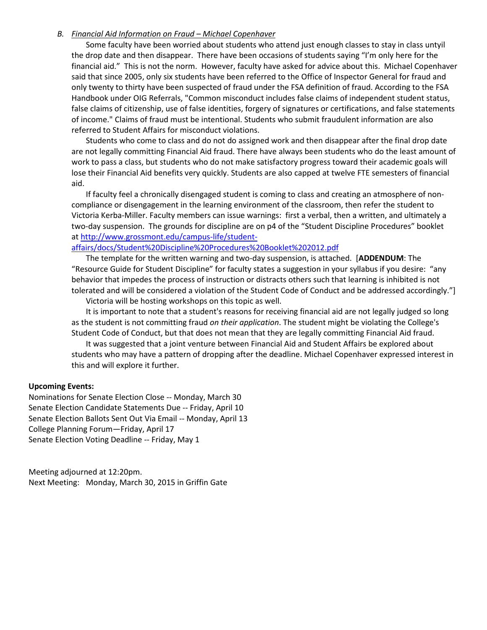#### *B. Financial Aid Information on Fraud – Michael Copenhaver*

Some faculty have been worried about students who attend just enough classes to stay in class untyil the drop date and then disappear. There have been occasions of students saying "I'm only here for the financial aid." This is not the norm. However, faculty have asked for advice about this. Michael Copenhaver said that since 2005, only six students have been referred to the Office of Inspector General for fraud and only twenty to thirty have been suspected of fraud under the FSA definition of fraud. According to the FSA Handbook under OIG Referrals, "Common misconduct includes false claims of independent student status, false claims of citizenship, use of false identities, forgery of signatures or certifications, and false statements of income." Claims of fraud must be intentional. Students who submit fraudulent information are also referred to Student Affairs for misconduct violations.

Students who come to class and do not do assigned work and then disappear after the final drop date are not legally committing Financial Aid fraud. There have always been students who do the least amount of work to pass a class, but students who do not make satisfactory progress toward their academic goals will lose their Financial Aid benefits very quickly. Students are also capped at twelve FTE semesters of financial aid.

If faculty feel a chronically disengaged student is coming to class and creating an atmosphere of noncompliance or disengagement in the learning environment of the classroom, then refer the student to Victoria Kerba-Miller. Faculty members can issue warnings: first a verbal, then a written, and ultimately a two-day suspension. The grounds for discipline are on p4 of the "Student Discipline Procedures" booklet at [http://www.grossmont.edu/campus-life/student-](http://www.grossmont.edu/campus-life/student-affairs/docs/Student%20Discipline%20Procedures%20Booklet%202012.pdf)

[affairs/docs/Student%20Discipline%20Procedures%20Booklet%202012.pdf](http://www.grossmont.edu/campus-life/student-affairs/docs/Student%20Discipline%20Procedures%20Booklet%202012.pdf)

The template for the written warning and two-day suspension, is attached. [**ADDENDUM**: The "Resource Guide for Student Discipline" for faculty states a suggestion in your syllabus if you desire: "any behavior that impedes the process of instruction or distracts others such that learning is inhibited is not tolerated and will be considered a violation of the Student Code of Conduct and be addressed accordingly."]

Victoria will be hosting workshops on this topic as well.

It is important to note that a student's reasons for receiving financial aid are not legally judged so long as the student is not committing fraud *on their application*. The student might be violating the College's Student Code of Conduct, but that does not mean that they are legally committing Financial Aid fraud.

It was suggested that a joint venture between Financial Aid and Student Affairs be explored about students who may have a pattern of dropping after the deadline. Michael Copenhaver expressed interest in this and will explore it further.

#### **Upcoming Events:**

Nominations for Senate Election Close -- Monday, March 30 Senate Election Candidate Statements Due -- Friday, April 10 Senate Election Ballots Sent Out Via Email -- Monday, April 13 College Planning Forum—Friday, April 17 Senate Election Voting Deadline -- Friday, May 1

Meeting adjourned at 12:20pm. Next Meeting: Monday, March 30, 2015 in Griffin Gate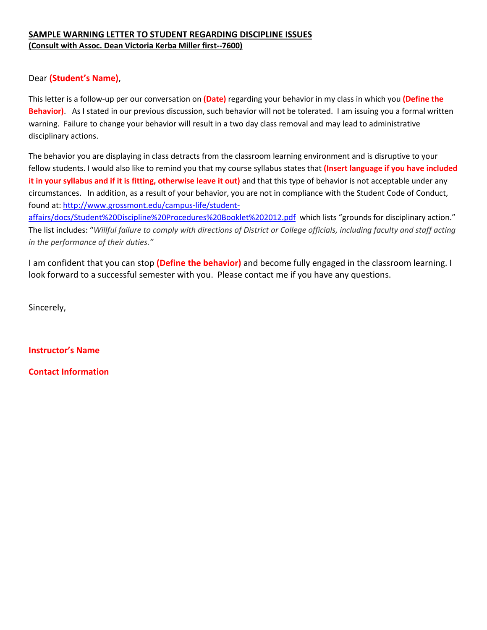# **SAMPLE WARNING LETTER TO STUDENT REGARDING DISCIPLINE ISSUES (Consult with Assoc. Dean Victoria Kerba Miller first--7600)**

# Dear **(Student's Name)**,

This letter is a follow-up per our conversation on **(Date)** regarding your behavior in my class in which you **(Define the Behavior)**. As I stated in our previous discussion, such behavior will not be tolerated. I am issuing you a formal written warning. Failure to change your behavior will result in a two day class removal and may lead to administrative disciplinary actions.

The behavior you are displaying in class detracts from the classroom learning environment and is disruptive to your fellow students. I would also like to remind you that my course syllabus states that **(Insert language if you have included it in your syllabus and if it is fitting, otherwise leave it out)** and that this type of behavior is not acceptable under any circumstances. In addition, as a result of your behavior, you are not in compliance with the Student Code of Conduct, found at: [http://www.grossmont.edu/campus-life/student-](http://www.grossmont.edu/campus-life/student-affairs/docs/Student%20Discipline%20Procedures%20Booklet%202012.pdf)

[affairs/docs/Student%20Discipline%20Procedures%20Booklet%202012.pdf](http://www.grossmont.edu/campus-life/student-affairs/docs/Student%20Discipline%20Procedures%20Booklet%202012.pdf) which lists "grounds for disciplinary action." The list includes: "*Willful failure to comply with directions of District or College officials, including faculty and staff acting in the performance of their duties."* 

I am confident that you can stop **(Define the behavior)** and become fully engaged in the classroom learning. I look forward to a successful semester with you. Please contact me if you have any questions.

Sincerely,

**Instructor's Name**

**Contact Information**